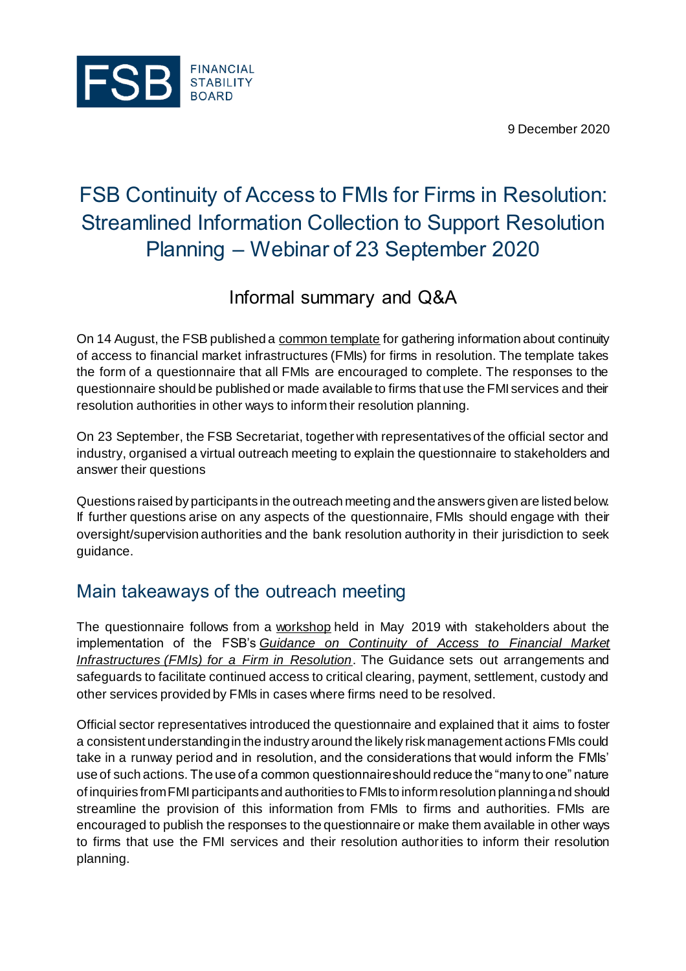9 December 2020



## FSB Continuity of Access to FMIs for Firms in Resolution: Streamlined Information Collection to Support Resolution Planning – Webinar of 23 September 2020

## Informal summary and Q&A

On 14 August, the FSB published a [common template](https://www.fsb.org/2020/08/fsb-continuity-of-access-to-fmis-for-firms-in-resolution-streamlined-information-collection-to-support-resolution-planning/) for gathering information about continuity of access to financial market infrastructures (FMIs) for firms in resolution. The template takes the form of a questionnaire that all FMIs are encouraged to complete. The responses to the questionnaire should be published or made available to firms that use the FMI services and their resolution authorities in other ways to inform their resolution planning.

On 23 September, the FSB Secretariat, together with representatives of the official sector and industry, organised a virtual outreach meeting to explain the questionnaire to stakeholders and answer their questions

Questions raised by participants in the outreach meeting and the answers given are listed below. If further questions arise on any aspects of the questionnaire, FMIs should engage with their oversight/supervision authorities and the bank resolution authority in their jurisdiction to seek guidance.

## Main takeaways of the outreach meeting

The questionnaire follows from a [workshop](https://www.fsb.org/2019/08/industry-workshop-on-continuity-of-access-to-fmis-for-firms-in-resolution/) held in May 2019 with stakeholders about the implementation of the FSB's *[Guidance on Continuity of Access to Financial Market](https://www.fsb.org/2017/07/guidance-on-continuity-of-access-to-financial-market-infrastructures-fmis-for-a-firm-in-resolution-2/)  [Infrastructures \(FMIs\) for a Firm in Resolution](https://www.fsb.org/2017/07/guidance-on-continuity-of-access-to-financial-market-infrastructures-fmis-for-a-firm-in-resolution-2/)*. The Guidance sets out arrangements and safeguards to facilitate continued access to critical clearing, payment, settlement, custody and other services provided by FMIs in cases where firms need to be resolved.

Official sector representatives introduced the questionnaire and explained that it aims to foster a consistent understanding in the industry around the likely risk management actions FMIs could take in a runway period and in resolution, and the considerations that would inform the FMIs' use of such actions. The use of a common questionnaire should reduce the "many to one" nature of inquiries from FMI participants and authorities to FMIs to inform resolution planning and should streamline the provision of this information from FMIs to firms and authorities. FMIs are encouraged to publish the responses to the questionnaire or make them available in other ways to firms that use the FMI services and their resolution authorities to inform their resolution planning.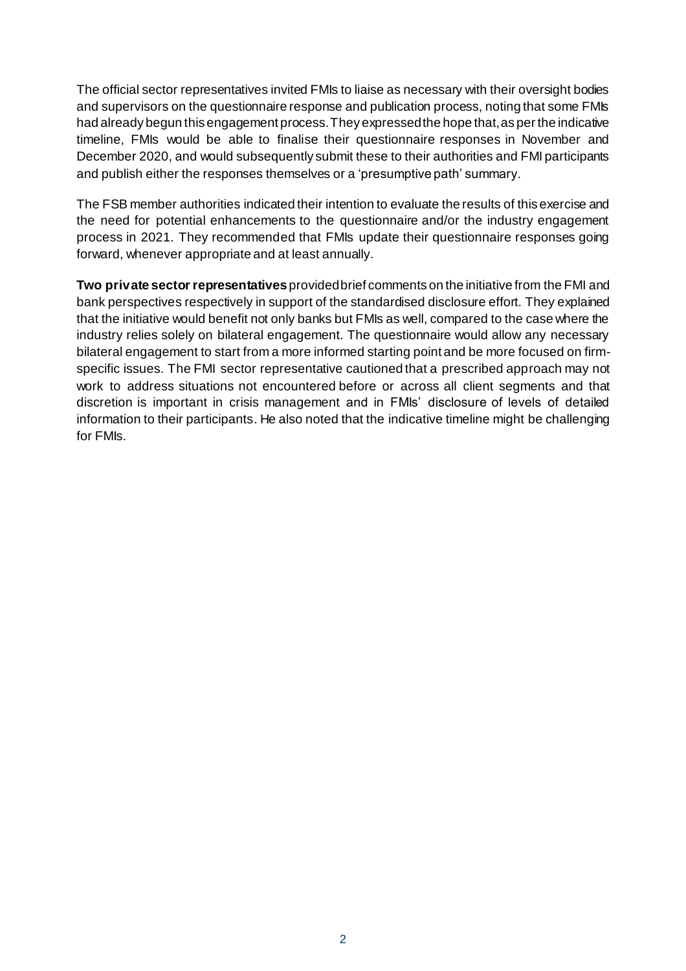The official sector representatives invited FMIs to liaise as necessary with their oversight bodies and supervisors on the questionnaire response and publication process, noting that some FMIs had already begun this engagement process. They expressed the hope that, as per the indicative timeline, FMIs would be able to finalise their questionnaire responses in November and December 2020, and would subsequently submit these to their authorities and FMI participants and publish either the responses themselves or a 'presumptive path' summary.

The FSB member authorities indicated their intention to evaluate the results of this exercise and the need for potential enhancements to the questionnaire and/or the industry engagement process in 2021. They recommended that FMIs update their questionnaire responses going forward, whenever appropriate and at least annually.

**Two private sector representatives** provided brief comments on the initiative from the FMI and bank perspectives respectively in support of the standardised disclosure effort. They explained that the initiative would benefit not only banks but FMIs as well, compared to the case where the industry relies solely on bilateral engagement. The questionnaire would allow any necessary bilateral engagement to start from a more informed starting point and be more focused on firmspecific issues. The FMI sector representative cautioned that a prescribed approach may not work to address situations not encountered before or across all client segments and that discretion is important in crisis management and in FMIs' disclosure of levels of detailed information to their participants. He also noted that the indicative timeline might be challenging for FMIs.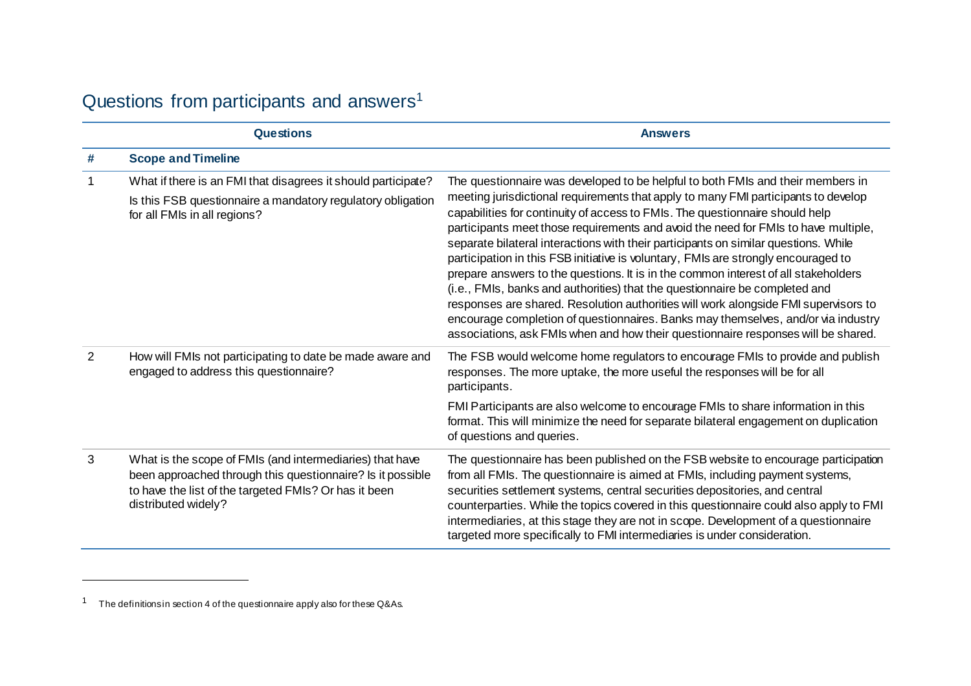|   | <b>Questions</b>                                                                                                                                                                                       | <b>Answers</b>                                                                                                                                                                                                                                                                                                                                                                                                                                                                                                                                                                                                                                                                                                                                                                                                                                                                                                                                                 |
|---|--------------------------------------------------------------------------------------------------------------------------------------------------------------------------------------------------------|----------------------------------------------------------------------------------------------------------------------------------------------------------------------------------------------------------------------------------------------------------------------------------------------------------------------------------------------------------------------------------------------------------------------------------------------------------------------------------------------------------------------------------------------------------------------------------------------------------------------------------------------------------------------------------------------------------------------------------------------------------------------------------------------------------------------------------------------------------------------------------------------------------------------------------------------------------------|
| # | <b>Scope and Timeline</b>                                                                                                                                                                              |                                                                                                                                                                                                                                                                                                                                                                                                                                                                                                                                                                                                                                                                                                                                                                                                                                                                                                                                                                |
| 1 | What if there is an FMI that disagrees it should participate?<br>Is this FSB questionnaire a mandatory regulatory obligation<br>for all FMIs in all regions?                                           | The questionnaire was developed to be helpful to both FMIs and their members in<br>meeting jurisdictional requirements that apply to many FMI participants to develop<br>capabilities for continuity of access to FMIs. The questionnaire should help<br>participants meet those requirements and avoid the need for FMIs to have multiple,<br>separate bilateral interactions with their participants on similar questions. While<br>participation in this FSB initiative is voluntary, FMIs are strongly encouraged to<br>prepare answers to the questions. It is in the common interest of all stakeholders<br>(i.e., FMIs, banks and authorities) that the questionnaire be completed and<br>responses are shared. Resolution authorities will work alongside FMI supervisors to<br>encourage completion of questionnaires. Banks may themselves, and/or via industry<br>associations, ask FMIs when and how their questionnaire responses will be shared. |
| 2 | How will FMIs not participating to date be made aware and<br>engaged to address this questionnaire?                                                                                                    | The FSB would welcome home regulators to encourage FMIs to provide and publish<br>responses. The more uptake, the more useful the responses will be for all<br>participants.<br>FMI Participants are also welcome to encourage FMIs to share information in this<br>format. This will minimize the need for separate bilateral engagement on duplication<br>of questions and queries.                                                                                                                                                                                                                                                                                                                                                                                                                                                                                                                                                                          |
| 3 | What is the scope of FMIs (and intermediaries) that have<br>been approached through this questionnaire? Is it possible<br>to have the list of the targeted FMIs? Or has it been<br>distributed widely? | The questionnaire has been published on the FSB website to encourage participation<br>from all FMIs. The questionnaire is aimed at FMIs, including payment systems,<br>securities settlement systems, central securities depositories, and central<br>counterparties. While the topics covered in this questionnaire could also apply to FMI<br>intermediaries, at this stage they are not in scope. Development of a questionnaire<br>targeted more specifically to FMI intermediaries is under consideration.                                                                                                                                                                                                                                                                                                                                                                                                                                                |

-

<sup>1</sup> The definitions in section 4 of the questionnaire apply also for these Q&As.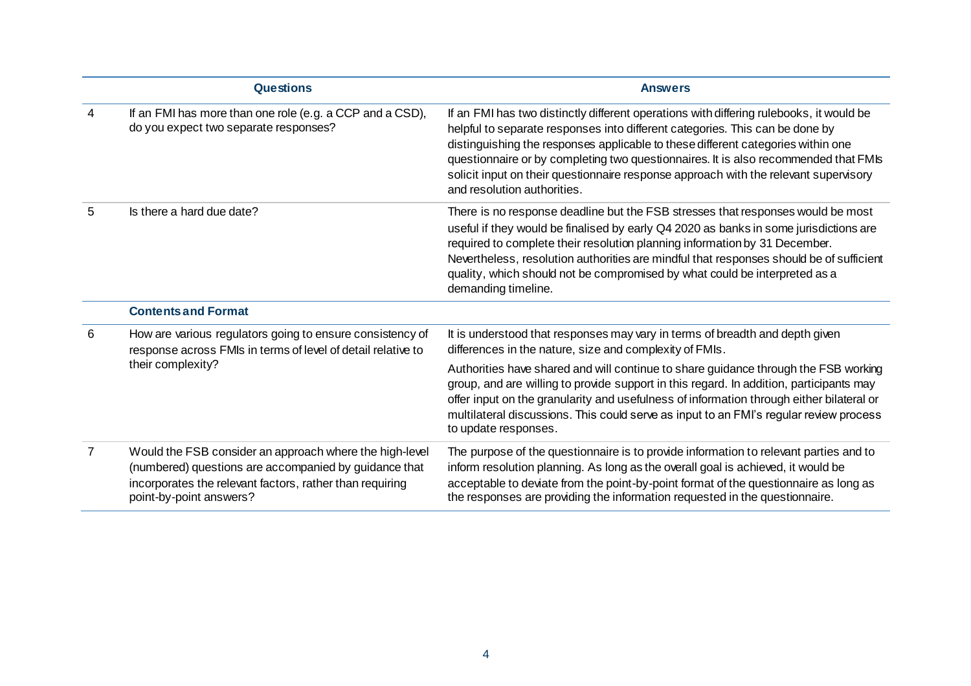|   | <b>Questions</b>                                                                                                                                                                                        | <b>Answers</b>                                                                                                                                                                                                                                                                                                                                                                                                                                                            |
|---|---------------------------------------------------------------------------------------------------------------------------------------------------------------------------------------------------------|---------------------------------------------------------------------------------------------------------------------------------------------------------------------------------------------------------------------------------------------------------------------------------------------------------------------------------------------------------------------------------------------------------------------------------------------------------------------------|
| 4 | If an FMI has more than one role (e.g. a CCP and a CSD),<br>do you expect two separate responses?                                                                                                       | If an FMI has two distinctly different operations with differing rulebooks, it would be<br>helpful to separate responses into different categories. This can be done by<br>distinguishing the responses applicable to these different categories within one<br>questionnaire or by completing two questionnaires. It is also recommended that FMIs<br>solicit input on their questionnaire response approach with the relevant supervisory<br>and resolution authorities. |
| 5 | Is there a hard due date?                                                                                                                                                                               | There is no response deadline but the FSB stresses that responses would be most<br>useful if they would be finalised by early Q4 2020 as banks in some jurisdictions are<br>required to complete their resolution planning information by 31 December.<br>Nevertheless, resolution authorities are mindful that responses should be of sufficient<br>quality, which should not be compromised by what could be interpreted as a<br>demanding timeline.                    |
|   | <b>Contents and Format</b>                                                                                                                                                                              |                                                                                                                                                                                                                                                                                                                                                                                                                                                                           |
| 6 | How are various regulators going to ensure consistency of<br>response across FMIs in terms of level of detail relative to<br>their complexity?                                                          | It is understood that responses may vary in terms of breadth and depth given<br>differences in the nature, size and complexity of FMIs.                                                                                                                                                                                                                                                                                                                                   |
|   |                                                                                                                                                                                                         | Authorities have shared and will continue to share guidance through the FSB working<br>group, and are willing to provide support in this regard. In addition, participants may<br>offer input on the granularity and usefulness of information through either bilateral or<br>multilateral discussions. This could serve as input to an FMI's regular review process<br>to update responses.                                                                              |
| 7 | Would the FSB consider an approach where the high-level<br>(numbered) questions are accompanied by guidance that<br>incorporates the relevant factors, rather than requiring<br>point-by-point answers? | The purpose of the questionnaire is to provide information to relevant parties and to<br>inform resolution planning. As long as the overall goal is achieved, it would be<br>acceptable to deviate from the point-by-point format of the questionnaire as long as<br>the responses are providing the information requested in the questionnaire.                                                                                                                          |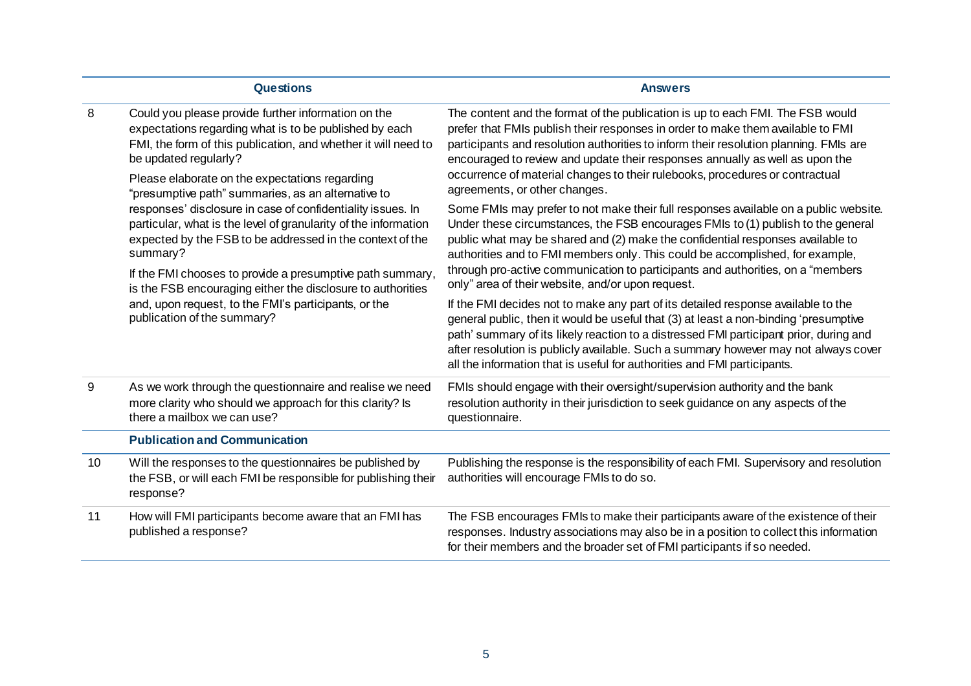|    | <b>Questions</b>                                                                                                                                                                                                                                                                                                 | <b>Answers</b>                                                                                                                                                                                                                                                                                                                                                                                                                                              |
|----|------------------------------------------------------------------------------------------------------------------------------------------------------------------------------------------------------------------------------------------------------------------------------------------------------------------|-------------------------------------------------------------------------------------------------------------------------------------------------------------------------------------------------------------------------------------------------------------------------------------------------------------------------------------------------------------------------------------------------------------------------------------------------------------|
| 8  | Could you please provide further information on the<br>expectations regarding what is to be published by each<br>FMI, the form of this publication, and whether it will need to<br>be updated regularly?<br>Please elaborate on the expectations regarding<br>"presumptive path" summaries, as an alternative to | The content and the format of the publication is up to each FMI. The FSB would<br>prefer that FMIs publish their responses in order to make them available to FMI<br>participants and resolution authorities to inform their resolution planning. FMIs are<br>encouraged to review and update their responses annually as well as upon the<br>occurrence of material changes to their rulebooks, procedures or contractual<br>agreements, or other changes. |
|    | responses' disclosure in case of confidentiality issues. In<br>particular, what is the level of granularity of the information<br>expected by the FSB to be addressed in the context of the<br>summary?                                                                                                          | Some FMIs may prefer to not make their full responses available on a public website.<br>Under these circumstances, the FSB encourages FMIs to (1) publish to the general<br>public what may be shared and (2) make the confidential responses available to<br>authorities and to FMI members only. This could be accomplished, for example,<br>through pro-active communication to participants and authorities, on a "members"                             |
|    | If the FMI chooses to provide a presumptive path summary,<br>is the FSB encouraging either the disclosure to authorities<br>and, upon request, to the FMI's participants, or the<br>publication of the summary?                                                                                                  | only" area of their website, and/or upon request.                                                                                                                                                                                                                                                                                                                                                                                                           |
|    |                                                                                                                                                                                                                                                                                                                  | If the FMI decides not to make any part of its detailed response available to the<br>general public, then it would be useful that (3) at least a non-binding 'presumptive<br>path' summary of its likely reaction to a distressed FMI participant prior, during and<br>after resolution is publicly available. Such a summary however may not always cover<br>all the information that is useful for authorities and FMI participants.                      |
| 9  | As we work through the questionnaire and realise we need<br>more clarity who should we approach for this clarity? Is<br>there a mailbox we can use?                                                                                                                                                              | FMIs should engage with their oversight/supervision authority and the bank<br>resolution authority in their jurisdiction to seek guidance on any aspects of the<br>questionnaire.                                                                                                                                                                                                                                                                           |
|    | <b>Publication and Communication</b>                                                                                                                                                                                                                                                                             |                                                                                                                                                                                                                                                                                                                                                                                                                                                             |
| 10 | Will the responses to the questionnaires be published by<br>the FSB, or will each FMI be responsible for publishing their<br>response?                                                                                                                                                                           | Publishing the response is the responsibility of each FMI. Supervisory and resolution<br>authorities will encourage FMIs to do so.                                                                                                                                                                                                                                                                                                                          |
| 11 | How will FMI participants become aware that an FMI has<br>published a response?                                                                                                                                                                                                                                  | The FSB encourages FMIs to make their participants aware of the existence of their<br>responses. Industry associations may also be in a position to collect this information<br>for their members and the broader set of FMI participants if so needed.                                                                                                                                                                                                     |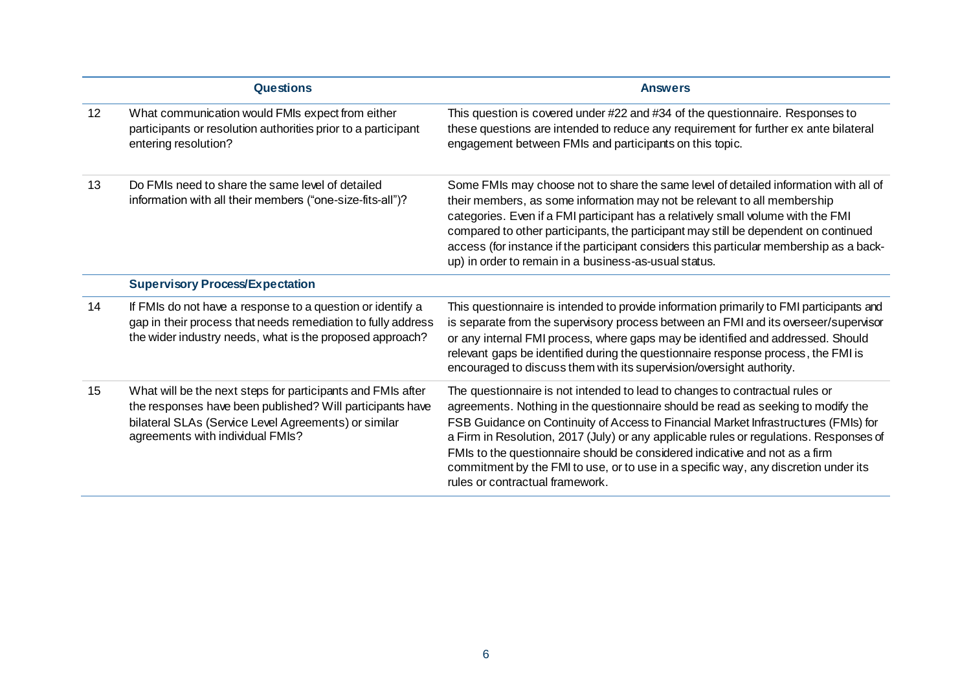|    | <b>Questions</b>                                                                                                                                                                                                     | <b>Answers</b>                                                                                                                                                                                                                                                                                                                                                                                                                                                                                                                                             |
|----|----------------------------------------------------------------------------------------------------------------------------------------------------------------------------------------------------------------------|------------------------------------------------------------------------------------------------------------------------------------------------------------------------------------------------------------------------------------------------------------------------------------------------------------------------------------------------------------------------------------------------------------------------------------------------------------------------------------------------------------------------------------------------------------|
| 12 | What communication would FMIs expect from either<br>participants or resolution authorities prior to a participant<br>entering resolution?                                                                            | This question is covered under #22 and #34 of the questionnaire. Responses to<br>these questions are intended to reduce any requirement for further ex ante bilateral<br>engagement between FMIs and participants on this topic.                                                                                                                                                                                                                                                                                                                           |
| 13 | Do FMIs need to share the same level of detailed<br>information with all their members ("one-size-fits-all")?                                                                                                        | Some FMIs may choose not to share the same level of detailed information with all of<br>their members, as some information may not be relevant to all membership<br>categories. Even if a FMI participant has a relatively small volume with the FMI<br>compared to other participants, the participant may still be dependent on continued<br>access (for instance if the participant considers this particular membership as a back-<br>up) in order to remain in a business-as-usual status.                                                            |
|    | <b>Supervisory Process/Expectation</b>                                                                                                                                                                               |                                                                                                                                                                                                                                                                                                                                                                                                                                                                                                                                                            |
| 14 | If FMIs do not have a response to a question or identify a<br>gap in their process that needs remediation to fully address<br>the wider industry needs, what is the proposed approach?                               | This questionnaire is intended to provide information primarily to FMI participants and<br>is separate from the supervisory process between an FMI and its overseer/supervisor<br>or any internal FMI process, where gaps may be identified and addressed. Should<br>relevant gaps be identified during the questionnaire response process, the FMI is<br>encouraged to discuss them with its supervision/oversight authority.                                                                                                                             |
| 15 | What will be the next steps for participants and FMIs after<br>the responses have been published? Will participants have<br>bilateral SLAs (Service Level Agreements) or similar<br>agreements with individual FMIs? | The questionnaire is not intended to lead to changes to contractual rules or<br>agreements. Nothing in the questionnaire should be read as seeking to modify the<br>FSB Guidance on Continuity of Access to Financial Market Infrastructures (FMIs) for<br>a Firm in Resolution, 2017 (July) or any applicable rules or regulations. Responses of<br>FMIs to the questionnaire should be considered indicative and not as a firm<br>commitment by the FMI to use, or to use in a specific way, any discretion under its<br>rules or contractual framework. |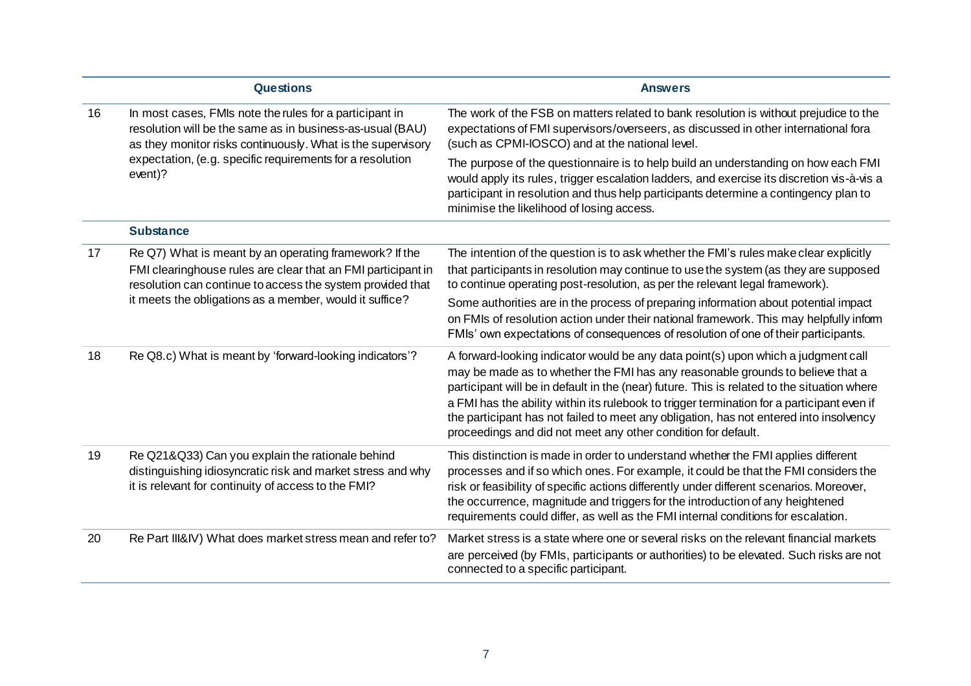|    | <b>Questions</b>                                                                                                                                                                                                                                            | <b>Answers</b>                                                                                                                                                                                                                                                                                                                                                                                                                                                                                                              |
|----|-------------------------------------------------------------------------------------------------------------------------------------------------------------------------------------------------------------------------------------------------------------|-----------------------------------------------------------------------------------------------------------------------------------------------------------------------------------------------------------------------------------------------------------------------------------------------------------------------------------------------------------------------------------------------------------------------------------------------------------------------------------------------------------------------------|
| 16 | In most cases, FMIs note the rules for a participant in<br>resolution will be the same as in business-as-usual (BAU)<br>as they monitor risks continuously. What is the supervisory<br>expectation, (e.g. specific requirements for a resolution<br>event)? | The work of the FSB on matters related to bank resolution is without prejudice to the<br>expectations of FMI supervisors/overseers, as discussed in other international fora<br>(such as CPMI-IOSCO) and at the national level.                                                                                                                                                                                                                                                                                             |
|    |                                                                                                                                                                                                                                                             | The purpose of the questionnaire is to help build an understanding on how each FMI<br>would apply its rules, trigger escalation ladders, and exercise its discretion vis-à-vis a<br>participant in resolution and thus help participants determine a contingency plan to<br>minimise the likelihood of losing access.                                                                                                                                                                                                       |
|    | <b>Substance</b>                                                                                                                                                                                                                                            |                                                                                                                                                                                                                                                                                                                                                                                                                                                                                                                             |
| 17 | Re Q7) What is meant by an operating framework? If the<br>FMI clearinghouse rules are clear that an FMI participant in<br>resolution can continue to access the system provided that<br>it meets the obligations as a member, would it suffice?             | The intention of the question is to ask whether the FMI's rules make clear explicitly<br>that participants in resolution may continue to use the system (as they are supposed<br>to continue operating post-resolution, as per the relevant legal framework).                                                                                                                                                                                                                                                               |
|    |                                                                                                                                                                                                                                                             | Some authorities are in the process of preparing information about potential impact<br>on FMIs of resolution action under their national framework. This may helpfully inform<br>FMIs' own expectations of consequences of resolution of one of their participants.                                                                                                                                                                                                                                                         |
| 18 | Re Q8.c) What is meant by 'forward-looking indicators'?                                                                                                                                                                                                     | A forward-looking indicator would be any data point(s) upon which a judgment call<br>may be made as to whether the FMI has any reasonable grounds to believe that a<br>participant will be in default in the (near) future. This is related to the situation where<br>a FMI has the ability within its rulebook to trigger termination for a participant even if<br>the participant has not failed to meet any obligation, has not entered into insolvency<br>proceedings and did not meet any other condition for default. |
| 19 | Re Q21&Q33) Can you explain the rationale behind<br>distinguishing idiosyncratic risk and market stress and why<br>it is relevant for continuity of access to the FMI?                                                                                      | This distinction is made in order to understand whether the FMI applies different<br>processes and if so which ones. For example, it could be that the FMI considers the<br>risk or feasibility of specific actions differently under different scenarios. Moreover,<br>the occurrence, magnitude and triggers for the introduction of any heightened<br>requirements could differ, as well as the FMI internal conditions for escalation.                                                                                  |
| 20 | Re Part III&IV) What does market stress mean and refer to?                                                                                                                                                                                                  | Market stress is a state where one or several risks on the relevant financial markets<br>are perceived (by FMIs, participants or authorities) to be elevated. Such risks are not<br>connected to a specific participant.                                                                                                                                                                                                                                                                                                    |